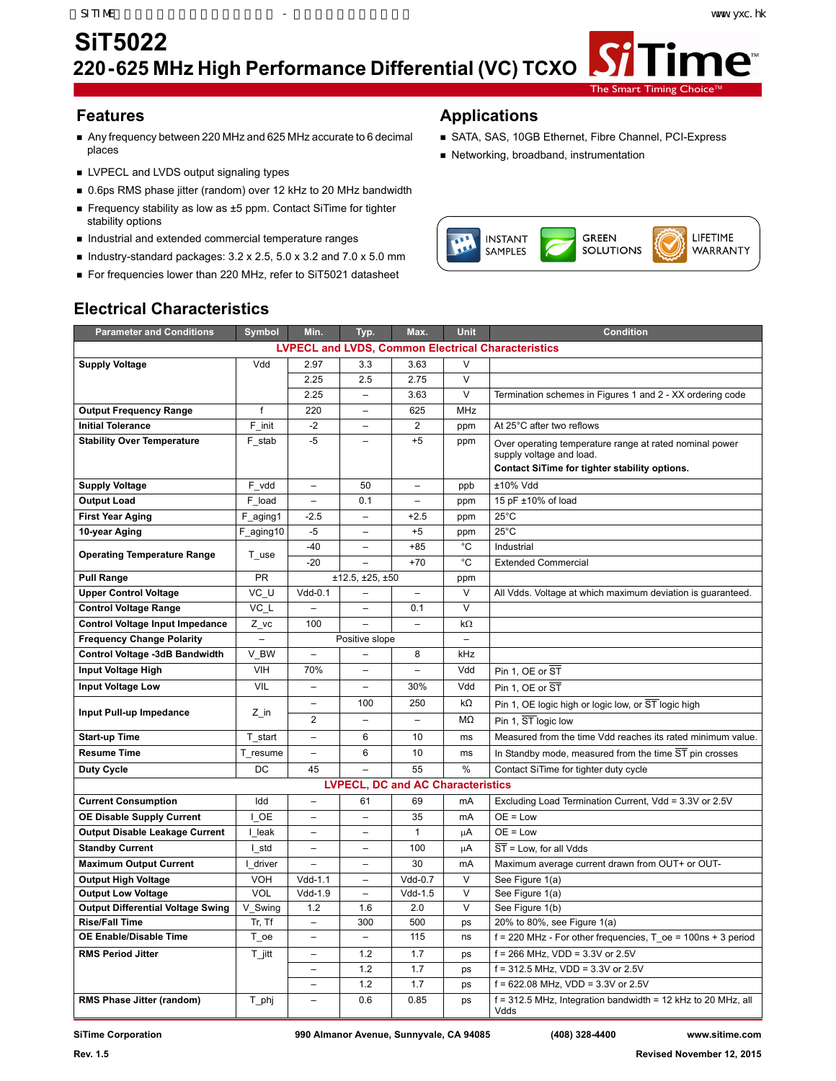ne<sup>®</sup>

## **SiT5022 220-625 MHz High Performance Differential (VC) TCXO**

- Any frequency between 220 MHz and 625 MHz accurate to 6 decimal places
- **LVPECL and LVDS output signaling types**
- 0.6ps RMS phase jitter (random) over 12 kHz to 20 MHz bandwidth
- Frequency stability as low as ±5 ppm. Contact SiTime for tighter stability options
- Industrial and extended commercial temperature ranges
- Industry-standard packages:  $3.2 \times 2.5$ ,  $5.0 \times 3.2$  and  $7.0 \times 5.0$  mm
- For frequencies lower than 220 MHz, refer to SiT5021 datasheet

### **Features Applications**

SATA, SAS, 10GB Ethernet, Fibre Channel, PCI-Express

The Smart Timing

Networking, broadband, instrumentation



| <b>Parameter and Conditions</b>                           | Symbol                   | Min.                     |                          | Max.                                     | Unit                     | <b>Condition</b>                                                                    |  |  |
|-----------------------------------------------------------|--------------------------|--------------------------|--------------------------|------------------------------------------|--------------------------|-------------------------------------------------------------------------------------|--|--|
|                                                           |                          |                          | Typ.                     |                                          |                          |                                                                                     |  |  |
| <b>LVPECL and LVDS, Common Electrical Characteristics</b> |                          |                          |                          |                                          |                          |                                                                                     |  |  |
| <b>Supply Voltage</b>                                     | Vdd                      | 2.97                     | 3.3                      | 3.63                                     | V                        |                                                                                     |  |  |
|                                                           |                          | 2.25                     | 2.5                      | 2.75                                     | $\vee$                   |                                                                                     |  |  |
|                                                           |                          | 2.25                     | $\qquad \qquad -$        | 3.63                                     | V                        | Termination schemes in Figures 1 and 2 - XX ordering code                           |  |  |
| <b>Output Frequency Range</b>                             | f                        | 220                      |                          | 625                                      | MHz                      |                                                                                     |  |  |
| <b>Initial Tolerance</b>                                  | F init                   | $-2$                     |                          | $\overline{2}$                           | ppm                      | At 25°C after two reflows                                                           |  |  |
| <b>Stability Over Temperature</b>                         | F stab                   | $-5$                     |                          | $+5$                                     | ppm                      | Over operating temperature range at rated nominal power<br>supply voltage and load. |  |  |
|                                                           |                          |                          |                          |                                          |                          | Contact SiTime for tighter stability options.                                       |  |  |
| <b>Supply Voltage</b>                                     | F vdd                    | $\overline{\phantom{0}}$ | 50                       | $\overline{\phantom{0}}$                 | ppb                      | ±10% Vdd                                                                            |  |  |
| <b>Output Load</b>                                        | F load                   | $\overline{a}$           | 0.1                      |                                          | ppm                      | 15 pF ±10% of load                                                                  |  |  |
| <b>First Year Aging</b>                                   | F_aging1                 | $-2.5$                   | $\overline{\phantom{a}}$ | $+2.5$                                   | ppm                      | $25^{\circ}$ C                                                                      |  |  |
| 10-year Aging                                             | F_aging10                | $-5$                     |                          | $+5$                                     | ppm                      | $25^{\circ}$ C                                                                      |  |  |
|                                                           |                          | $-40$                    |                          | $+85$                                    | $^{\circ}$ C             | Industrial                                                                          |  |  |
| <b>Operating Temperature Range</b>                        | T use                    | $-20$                    |                          | $+70$                                    | $^{\circ}$ C             | <b>Extended Commercial</b>                                                          |  |  |
| <b>Pull Range</b>                                         | <b>PR</b>                |                          | ±12.5, ±25, ±50          |                                          | ppm                      |                                                                                     |  |  |
| <b>Upper Control Voltage</b>                              | VC U                     | $Vdd-0.1$                |                          | $\overline{\phantom{0}}$                 | $\vee$                   | All Vdds. Voltage at which maximum deviation is guaranteed.                         |  |  |
| <b>Control Voltage Range</b>                              | VC L                     |                          | $\sim$                   | 0.1                                      | V                        |                                                                                     |  |  |
| <b>Control Voltage Input Impedance</b>                    | Z vc                     | 100                      |                          | $\overline{a}$                           | $k\Omega$                |                                                                                     |  |  |
| <b>Frequency Change Polarity</b>                          | $\overline{\phantom{0}}$ |                          | Positive slope           |                                          | $\overline{\phantom{a}}$ |                                                                                     |  |  |
| Control Voltage -3dB Bandwidth                            | V BW                     | $\equiv$                 |                          | 8                                        | kHz                      |                                                                                     |  |  |
| Input Voltage High                                        | VIH                      | 70%                      |                          |                                          | Vdd                      | Pin 1. OE or ST                                                                     |  |  |
| <b>Input Voltage Low</b>                                  | VIL                      | $\overline{\phantom{0}}$ |                          | 30%                                      | Vdd                      | Pin 1. OE or $\overline{ST}$                                                        |  |  |
|                                                           |                          | $\overline{\phantom{0}}$ | 100                      | 250                                      | $k\Omega$                | Pin 1, OE logic high or logic low, or ST logic high                                 |  |  |
| Input Pull-up Impedance                                   | $Z_{\_}$ in              | $\overline{2}$           | $\overline{a}$           | $\overline{a}$                           | MΩ                       | Pin 1, ST logic low                                                                 |  |  |
| <b>Start-up Time</b>                                      | T start                  | $\overline{a}$           | 6                        | 10                                       | ms                       | Measured from the time Vdd reaches its rated minimum value.                         |  |  |
| <b>Resume Time</b>                                        | T resume                 | $\overline{\phantom{0}}$ | 6                        | 10                                       | ms                       | In Standby mode, measured from the time ST pin crosses                              |  |  |
| <b>Duty Cycle</b>                                         | DC                       | 45                       | $\overline{a}$           | 55                                       | $\frac{0}{0}$            | Contact SiTime for tighter duty cycle                                               |  |  |
|                                                           |                          |                          |                          | <b>LVPECL, DC and AC Characteristics</b> |                          |                                                                                     |  |  |
| <b>Current Consumption</b>                                | Idd                      | $\overline{\phantom{0}}$ | 61                       | 69                                       | mA                       | Excluding Load Termination Current, Vdd = 3.3V or 2.5V                              |  |  |
| <b>OE Disable Supply Current</b>                          | I OE                     | $\qquad \qquad -$        | $\overline{\phantom{a}}$ | 35                                       | mA                       | $OE = Low$                                                                          |  |  |
| <b>Output Disable Leakage Current</b>                     | I leak                   | $\overline{\phantom{0}}$ | $\overline{\phantom{0}}$ | $\mathbf{1}$                             | μA                       | $OE = Low$                                                                          |  |  |
| <b>Standby Current</b>                                    | I std                    |                          |                          | 100                                      | μA                       | ST = Low, for all Vdds                                                              |  |  |
| <b>Maximum Output Current</b>                             | I driver                 | $\overline{\phantom{0}}$ |                          | 30                                       | mA                       | Maximum average current drawn from OUT+ or OUT-                                     |  |  |
| <b>Output High Voltage</b>                                | <b>VOH</b>               | $Vdd-1.1$                | $\overline{\phantom{a}}$ | $Vdd-0.7$                                | $\vee$                   | See Figure 1(a)                                                                     |  |  |
| <b>Output Low Voltage</b>                                 | VOL                      | $Vdd-1.9$                |                          | $Vdd-1.5$                                | $\vee$                   | See Figure 1(a)                                                                     |  |  |
| <b>Output Differential Voltage Swing</b>                  | V Swing                  | 1.2                      | 1.6                      | 2.0                                      | V                        | See Figure 1(b)                                                                     |  |  |
| <b>Rise/Fall Time</b>                                     | Tr, Tf                   |                          | 300                      | 500                                      | ps                       | 20% to 80%, see Figure 1(a)                                                         |  |  |
| OE Enable/Disable Time                                    | T_oe                     | -                        |                          | 115                                      | ns                       | $f = 220$ MHz - For other frequencies, T oe = 100ns + 3 period                      |  |  |
| <b>RMS Period Jitter</b>                                  | $T$ jitt                 |                          | 1.2                      | 1.7                                      | ps                       | $f = 266$ MHz, VDD = 3.3V or 2.5V                                                   |  |  |
|                                                           |                          |                          | 1.2                      | 1.7                                      | ps                       | $f = 312.5$ MHz, VDD = 3.3V or 2.5V                                                 |  |  |
|                                                           |                          | $\overline{\phantom{0}}$ | 1.2                      | 1.7                                      | ps                       | $f = 622.08$ MHz, VDD = 3.3V or 2.5V                                                |  |  |
| <b>RMS Phase Jitter (random)</b>                          | T_phj                    |                          | 0.6                      | 0.85                                     | ps                       | f = 312.5 MHz, Integration bandwidth = 12 kHz to 20 MHz, all<br>Vdds                |  |  |

## **Electrical Characteristics**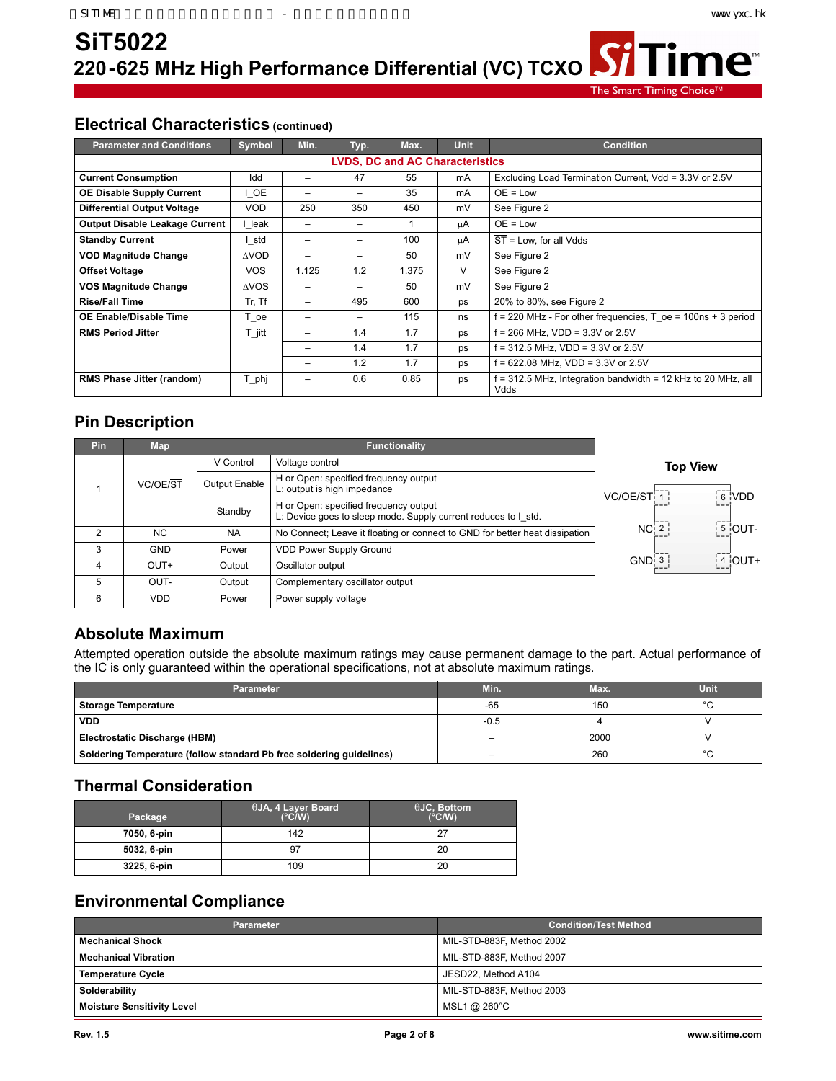「ime™

The Smart Timing Choid

## **Electrical Characteristics (continued)**

| <b>Parameter and Conditions</b>        | Symbol      | Min.                     | Typ.                     | Max.  | <b>Unit</b> | <b>Condition</b>                                                   |  |
|----------------------------------------|-------------|--------------------------|--------------------------|-------|-------------|--------------------------------------------------------------------|--|
| <b>LVDS, DC and AC Characteristics</b> |             |                          |                          |       |             |                                                                    |  |
| <b>Current Consumption</b>             | Idd         |                          | 47                       | 55    | mA          | Excluding Load Termination Current, Vdd = 3.3V or 2.5V             |  |
| <b>OE Disable Supply Current</b>       | I OE        | -                        | $\overline{\phantom{0}}$ | 35    | mA          | $OE = Low$                                                         |  |
| <b>Differential Output Voltage</b>     | <b>VOD</b>  | 250                      | 350                      | 450   | mV          | See Figure 2                                                       |  |
| <b>Output Disable Leakage Current</b>  | leak        | -                        | $\overline{\phantom{0}}$ |       | μA          | $OE = Low$                                                         |  |
| <b>Standby Current</b>                 | l std       |                          |                          | 100   | uΑ          | $\overline{ST}$ = Low, for all Vdds                                |  |
| <b>VOD Magnitude Change</b>            | <b>AVOD</b> | $\overline{\phantom{0}}$ | $\overline{\phantom{0}}$ | 50    | mV          | See Figure 2                                                       |  |
| <b>Offset Voltage</b>                  | <b>VOS</b>  | 1.125                    | 1.2                      | 1.375 | V           | See Figure 2                                                       |  |
| VOS Magnitude Change                   | <b>AVOS</b> | $\qquad \qquad$          |                          | 50    | mV          | See Figure 2                                                       |  |
| <b>Rise/Fall Time</b>                  | Tr, Tf      | -                        | 495                      | 600   | ps          | 20% to 80%, see Figure 2                                           |  |
| OE Enable/Disable Time                 | T oe        |                          |                          | 115   | ns          | $f = 220$ MHz - For other frequencies, T $oe = 100$ ns + 3 period  |  |
| <b>RMS Period Jitter</b>               | T jitt      | -                        | 1.4                      | 1.7   | ps          | f = 266 MHz, VDD = 3.3V or 2.5V                                    |  |
|                                        |             |                          | 1.4                      | 1.7   | ps          | f = 312.5 MHz, VDD = 3.3V or 2.5V                                  |  |
|                                        |             | -                        | 1.2                      | 1.7   | ps          | f = 622.08 MHz, VDD = 3.3V or 2.5V                                 |  |
| RMS Phase Jitter (random)              | T phj       | -                        | 0.6                      | 0.85  | ps          | = 312.5 MHz, Integration bandwidth = 12 kHz to 20 MHz, all<br>Vdds |  |

## **Pin Description**

| <b>Pin</b>     | <b>Map</b> |               | <b>Functionality</b>                                                                                    |                                                                  |
|----------------|------------|---------------|---------------------------------------------------------------------------------------------------------|------------------------------------------------------------------|
|                |            | V Control     | Voltage control                                                                                         | <b>Top View</b>                                                  |
|                | VC/OE/ST   | Output Enable | H or Open: specified frequency output<br>L: output is high impedance                                    | VC/OE/ST[7]<br>6 VDD                                             |
|                |            | Standby       | H or Open: specified frequency output<br>L: Device goes to sleep mode. Supply current reduces to I std. |                                                                  |
| $\mathfrak{p}$ | NC.        | <b>NA</b>     | No Connect; Leave it floating or connect to GND for better heat dissipation                             | $\begin{bmatrix} 5 \\ 0 \end{bmatrix}$ OUT-<br>NC <sub>1</sub> 2 |
| 3              | <b>GND</b> | Power         | <b>VDD Power Supply Ground</b>                                                                          |                                                                  |
| 4              | OUT+       | Output        | Oscillator output                                                                                       | $\frac{1}{2}$ 4 OUT+<br>$GND$ : $3$                              |
| 5              | OUT-       | Output        | Complementary oscillator output                                                                         |                                                                  |
| 6              | VDD.       | Power         | Power supply voltage                                                                                    |                                                                  |

## **Absolute Maximum**

Attempted operation outside the absolute maximum ratings may cause permanent damage to the part. Actual performance of the IC is only guaranteed within the operational specifications, not at absolute maximum ratings.

| Parameter                                                            | Min.   | Max. | <b>Unit</b> |
|----------------------------------------------------------------------|--------|------|-------------|
| <b>Storage Temperature</b>                                           | $-65$  | 150  | $\sim$      |
| <b>VDD</b>                                                           | $-0.5$ |      |             |
| Electrostatic Discharge (HBM)                                        |        | 2000 |             |
| Soldering Temperature (follow standard Pb free soldering guidelines) | -      | 260  | $\sim$      |

## **Thermal Consideration**

| Package     | $\theta$ JA, 4 Layer Board<br>$(^{\circ}C/W)$ | $\theta$ JC, Bottom<br>$(^{\circ}C/W)$ |
|-------------|-----------------------------------------------|----------------------------------------|
| 7050, 6-pin | 142                                           | 27                                     |
| 5032, 6-pin |                                               | 20                                     |
| 3225, 6-pin | 109                                           | 20                                     |

## **Environmental Compliance**

| <b>Parameter</b>                  | <b>Condition/Test Method</b> |
|-----------------------------------|------------------------------|
| <b>Mechanical Shock</b>           | MIL-STD-883F, Method 2002    |
| <b>Mechanical Vibration</b>       | MIL-STD-883F, Method 2007    |
| <b>Temperature Cycle</b>          | JESD22, Method A104          |
| Solderability                     | MIL-STD-883F, Method 2003    |
| <b>Moisture Sensitivity Level</b> | MSL1 @ 260°C                 |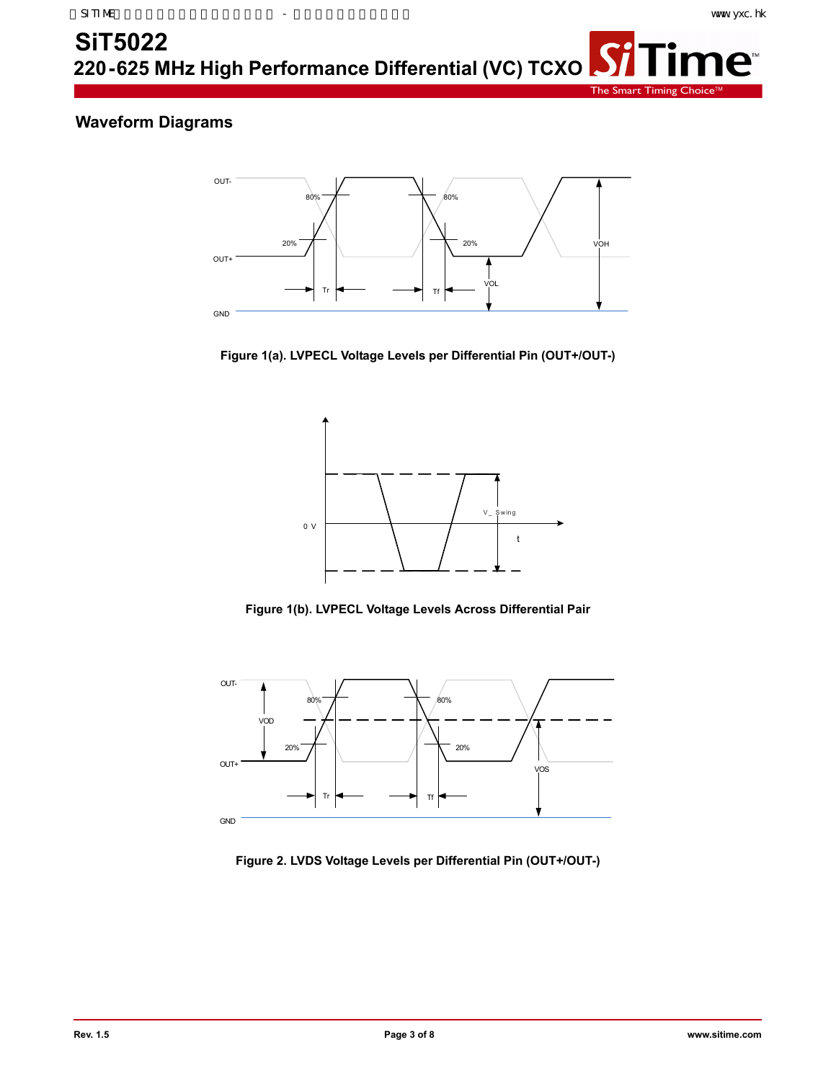**ne™** 

The Smart Timing

## **Waveform Diagrams**



**Figure 1(a). LVPECL Voltage Levels per Differential Pin (OUT+/OUT-)**



**Figure 1(b). LVPECL Voltage Levels Across Differential Pair**



**Figure 2. LVDS Voltage Levels per Differential Pin (OUT+/OUT-)**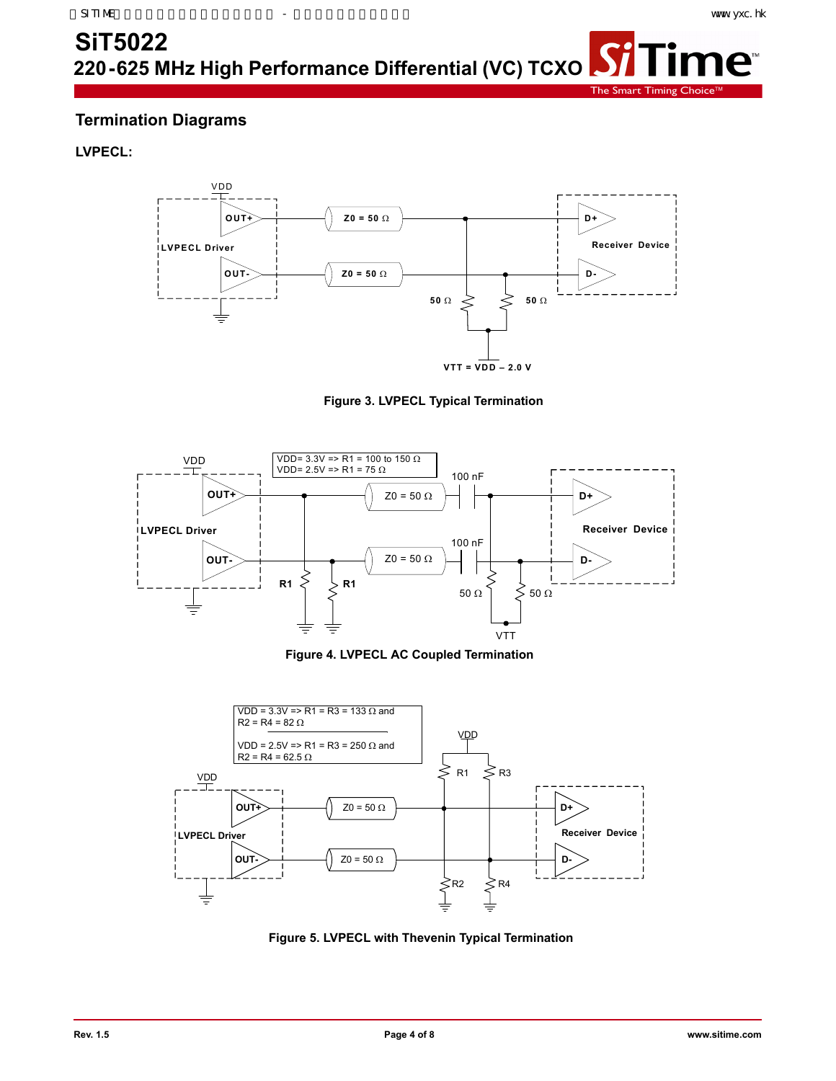**ne™** 

**SiT5022**

**220-625 MHz High Performance Differential (VC) TCXO**

The Smart Timing

Si

## **Termination Diagrams**

### **LVPECL:**



### **Figure 3. LVPECL Typical Termination**



**Figure 4. LVPECL AC Coupled Termination**



**Figure 5. LVPECL with Thevenin Typical Termination**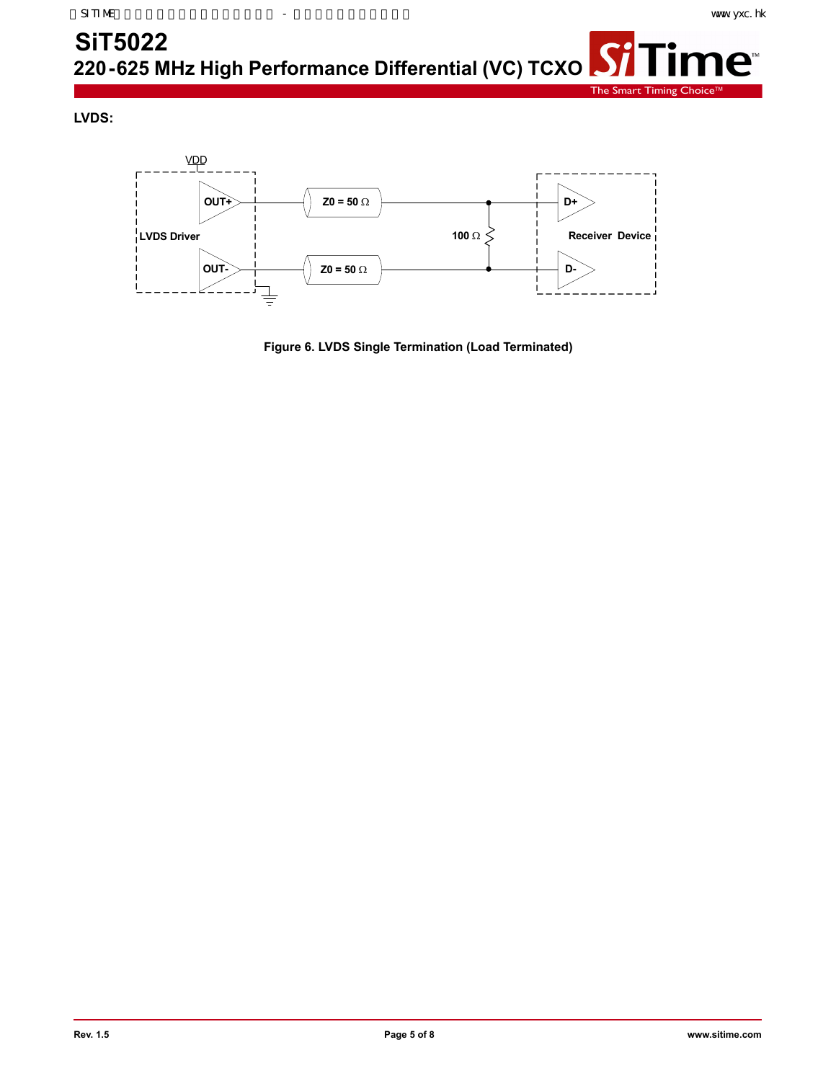The Smart Timing Choic

### <span id="page-4-0"></span>**SiT5022** 「ime™  $\boldsymbol{S}$ **220-625 MHz High Performance Differential (VC) TCXO**

**LVDS:**



**Figure 6. LVDS Single Termination (Load Terminated)**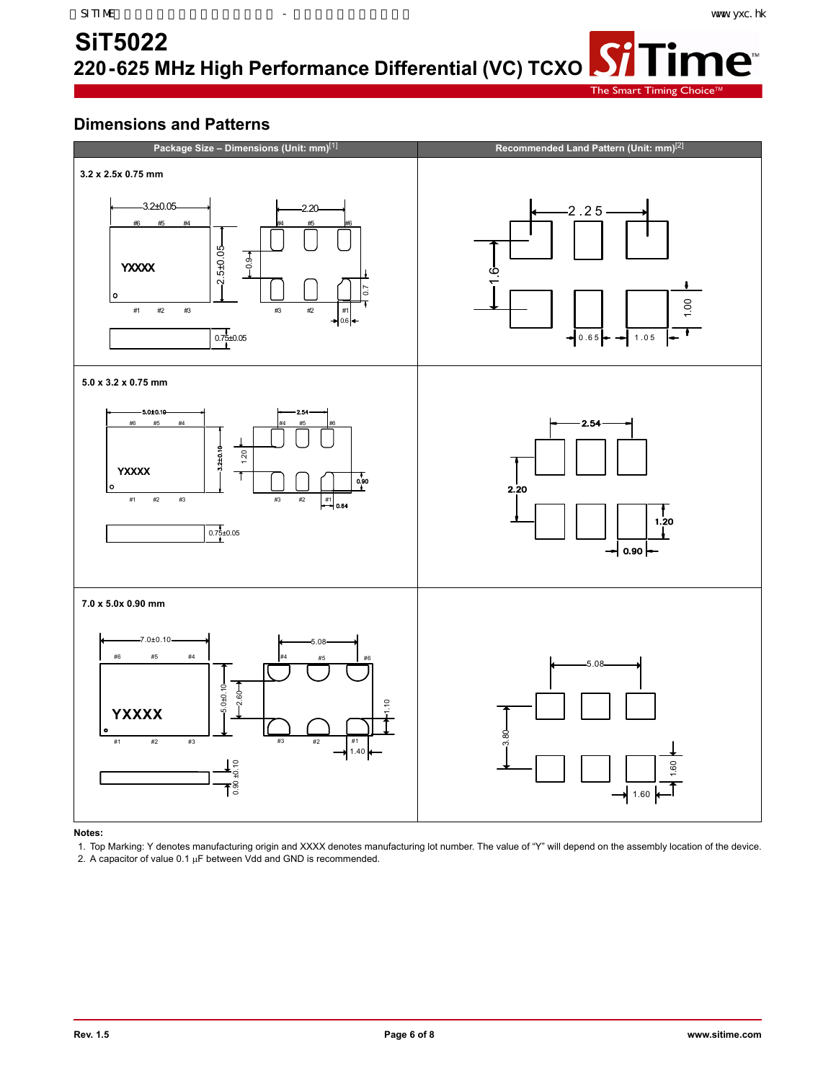**ne™** 

The Smart Timing

**Si** 

## <span id="page-5-0"></span>**Dimensions and Patterns**



**Notes:** 

1. Top Marking: Y denotes manufacturing origin and XXXX denotes manufacturing lot number. The value of "Y" will depend on the assembly location of the device. 2. A capacitor of value  $0.1 \mu$ F between Vdd and GND is recommended.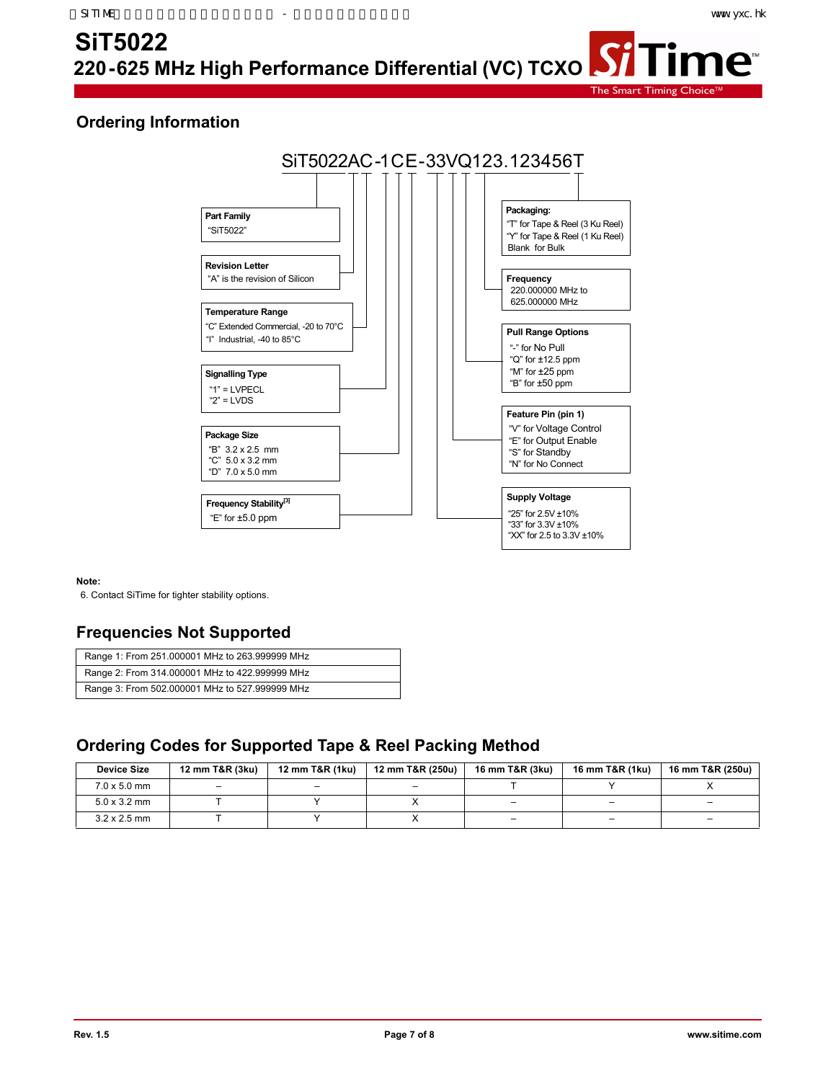me<sup>®</sup>

The Smart Timing

## **Ordering Information**



### **Note:**

6. Contact SiTime for tighter stability options.

## **Frequencies Not Supported**

| Range 1: From 251.000001 MHz to 263.999999 MHz |
|------------------------------------------------|
| Range 2: From 314.000001 MHz to 422.999999 MHz |
| Range 3: From 502.000001 MHz to 527.999999 MHz |

### **Ordering Codes for Supported Tape & Reel Packing Method**

| <b>Device Size</b>  | 12 mm T&R (3ku) | 12 mm T&R (1ku)          | 12 mm T&R (250u) | 16 mm T&R (3ku) | 16 mm T&R (1ku) | 16 mm T&R (250u) |
|---------------------|-----------------|--------------------------|------------------|-----------------|-----------------|------------------|
| $7.0 \times 5.0$ mm | -               | $\overline{\phantom{0}}$ | -                |                 |                 |                  |
| $5.0 \times 3.2$ mm |                 |                          |                  |                 | -               | -                |
| $3.2 \times 2.5$ mm |                 |                          |                  | -               | -               | -                |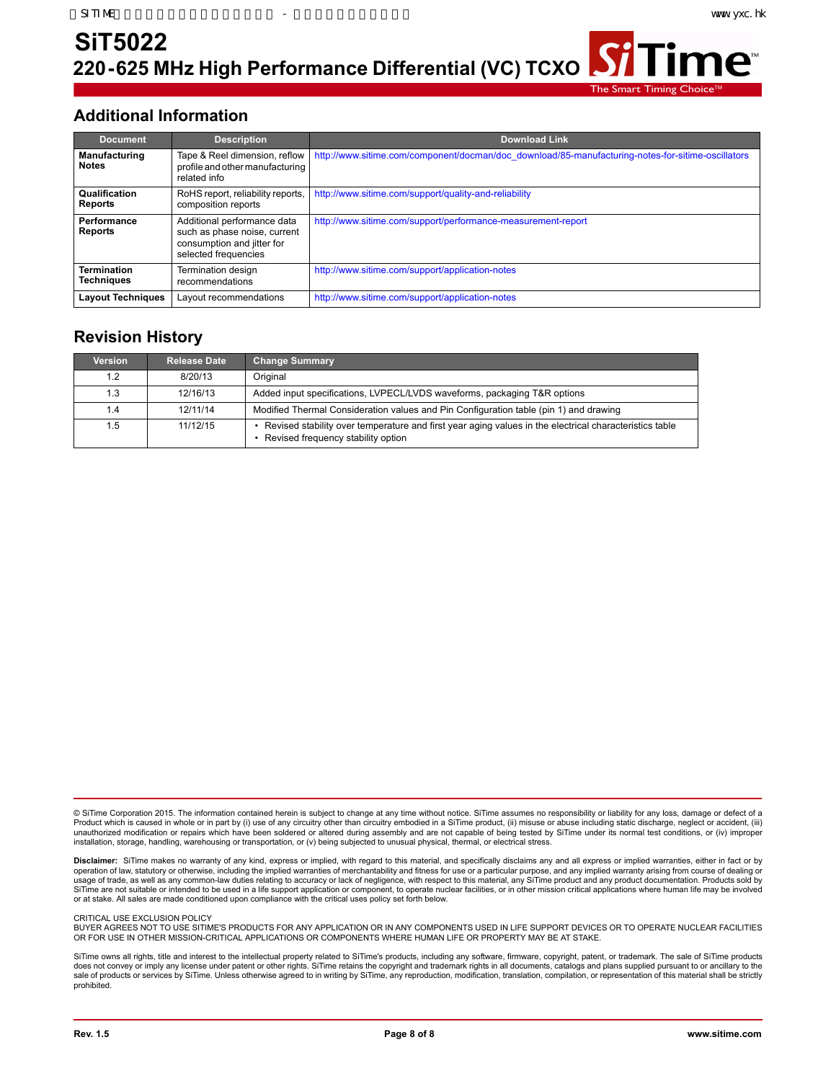ïme™

**220-625 MHz High Performance Differential (VC) TCXO SiT5022**

The Smart Timing Choic

### **Additional Information**

| <b>Document</b>                         | <b>Description</b>                                                                                                | <b>Download Link</b>                                                                              |
|-----------------------------------------|-------------------------------------------------------------------------------------------------------------------|---------------------------------------------------------------------------------------------------|
| <b>Manufacturing</b><br><b>Notes</b>    | Tape & Reel dimension, reflow  <br>profile and other manufacturing<br>related info                                | http://www.sitime.com/component/docman/doc_download/85-manufacturing-notes-for-sitime-oscillators |
| <b>Qualification</b><br><b>Reports</b>  | RoHS report, reliability reports,<br>composition reports                                                          | http://www.sitime.com/support/quality-and-reliability                                             |
| Performance<br><b>Reports</b>           | Additional performance data<br>such as phase noise, current<br>consumption and jitter for<br>selected frequencies | http://www.sitime.com/support/performance-measurement-report                                      |
| <b>Termination</b><br><b>Techniques</b> | Termination design<br>recommendations                                                                             | http://www.sitime.com/support/application-notes                                                   |
| <b>Layout Techniques</b>                | Layout recommendations                                                                                            | http://www.sitime.com/support/application-notes                                                   |

## **Revision History**

| Version | <b>Release Date</b> | <b>Change Summary</b>                                                                                                                        |
|---------|---------------------|----------------------------------------------------------------------------------------------------------------------------------------------|
| 1.2     | 8/20/13             | Original                                                                                                                                     |
| 1.3     | 12/16/13            | Added input specifications, LVPECL/LVDS waveforms, packaging T&R options                                                                     |
| 1.4     | 12/11/14            | Modified Thermal Consideration values and Pin Configuration table (pin 1) and drawing                                                        |
| 1.5     | 11/12/15            | Revised stability over temperature and first year aging values in the electrical characteristics table<br>Revised frequency stability option |

© SiTime Corporation 2015. The information contained herein is subject to change at any time without notice. SiTime assumes no responsibility or liability for any loss, damage or defect of a Product which is caused in whole or in part by (i) use of any circuitry other than circuitry embodied in a SiTime product, (ii) misuse or abuse including static discharge, neglect or accident, (iii)<br>unauthorized modificati installation, storage, handling, warehousing or transportation, or (v) being subjected to unusual physical, thermal, or electrical stress.

**Disclaimer:** SiTime makes no warranty of any kind, express or implied, with regard to this material, and specifically disclaims any and all express or implied warranties, either in fact or by operation of law, statutory or otherwise, including the implied warranties of merchantability and fitness for use or a particular purpose, and any implied warranty arising from course of dealing or<br>usage of trade, as well or at stake. All sales are made conditioned upon compliance with the critical uses policy set forth below.

#### CRITICAL USE EXCLUSION POLICY

BUYER AGREES NOT TO USE SITIME'S PRODUCTS FOR ANY APPLICATION OR IN ANY COMPONENTS USED IN LIFE SUPPORT DEVICES OR TO OPERATE NUCLEAR FACILITIES OR FOR USE IN OTHER MISSION-CRITICAL APPLICATIONS OR COMPONENTS WHERE HUMAN LIFE OR PROPERTY MAY BE AT STAKE.

SiTime owns all rights, title and interest to the intellectual property related to SiTime's products, including any software, firmware, copyright, patent, or trademark. The sale of SiTime products<br>does not convey or imply prohibited.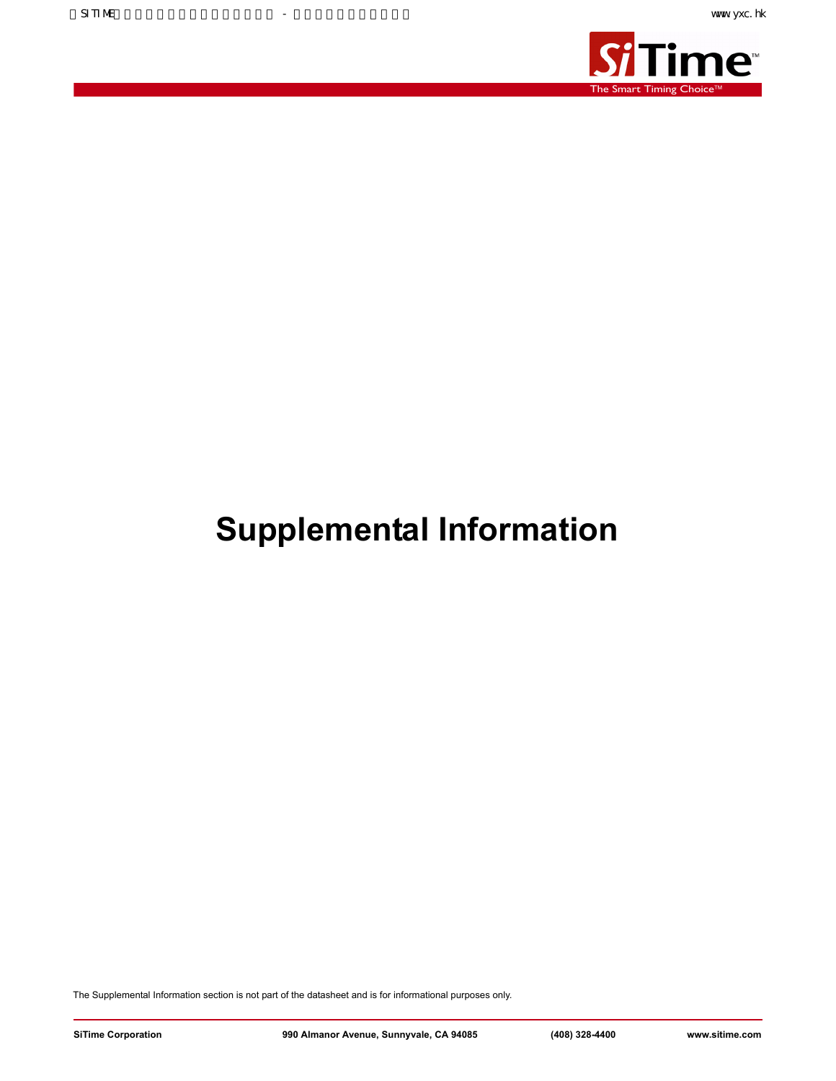

## **Supplemental Information**

The Supplemental Information section is not part of the datasheet and is for informational purposes only.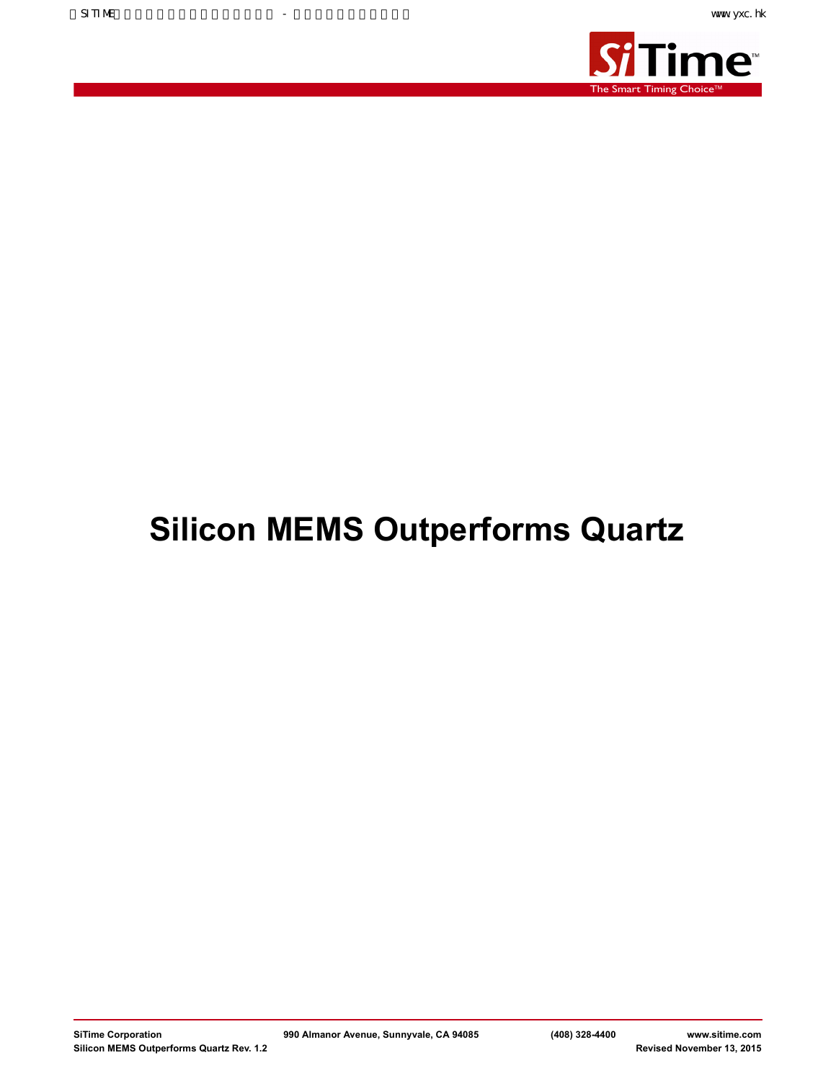

# **Silicon MEMS Outperforms Quartz**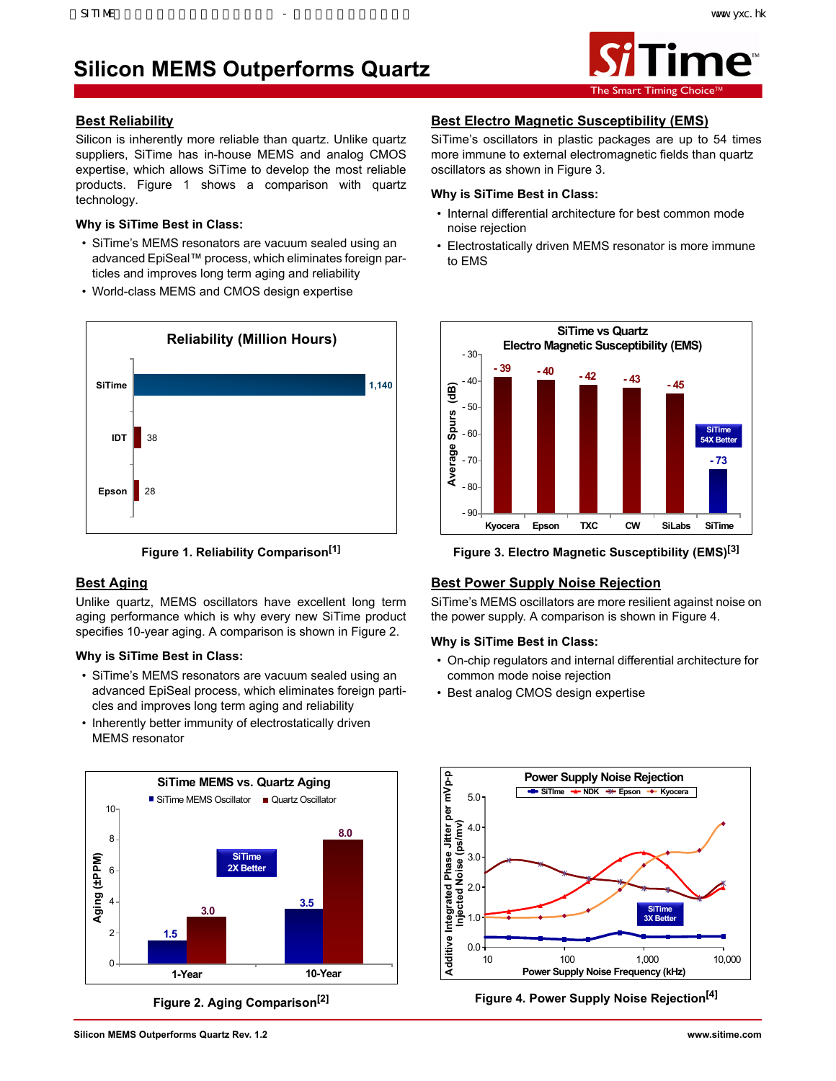## **Silicon MEMS Outperforms Quartz**



### **Best Reliability**

Silicon is inherently more reliable than quartz. Unlike quartz suppliers, SiTime has in-house MEMS and analog CMOS expertise, which allows SiTime to develop the most reliable products. Figure 1 shows a comparison with quartz technology.

### **Why is SiTime Best in Class:**

- SiTime's MEMS resonators are vacuum sealed using an advanced EpiSeal™ process, which eliminates foreign particles and improves long term aging and reliability
- World-class MEMS and CMOS design expertise





### **Best Aging**

Unlike quartz, MEMS oscillators have excellent long term aging performance which is why every new SiTime product specifies 10-year aging. A comparison is shown in Figure 2.

### **Why is SiTime Best in Class:**

- SiTime's MEMS resonators are vacuum sealed using an advanced EpiSeal process, which eliminates foreign particles and improves long term aging and reliability
- Inherently better immunity of electrostatically driven MEMS resonator



**Figure 2. Aging Comparison[2]**

### **Best Electro Magnetic Susceptibility (EMS)**

SiTime's oscillators in plastic packages are up to 54 times more immune to external electromagnetic fields than quartz oscillators as shown in Figure 3.

### **Why is SiTime Best in Class:**

- Internal differential architecture for best common mode noise rejection
- Electrostatically driven MEMS resonator is more immune to EMS



**Figure 3. Electro Magnetic Susceptibility (EMS)[3]**

### **Best Power Supply Noise Rejection**

SiTime's MEMS oscillators are more resilient against noise on the power supply. A comparison is shown in Figure 4.

### **Why is SiTime Best in Class:**

- On-chip regulators and internal differential architecture for common mode noise rejection
- Best analog CMOS design expertise



**Figure 4. Power Supply Noise Rejection[4]**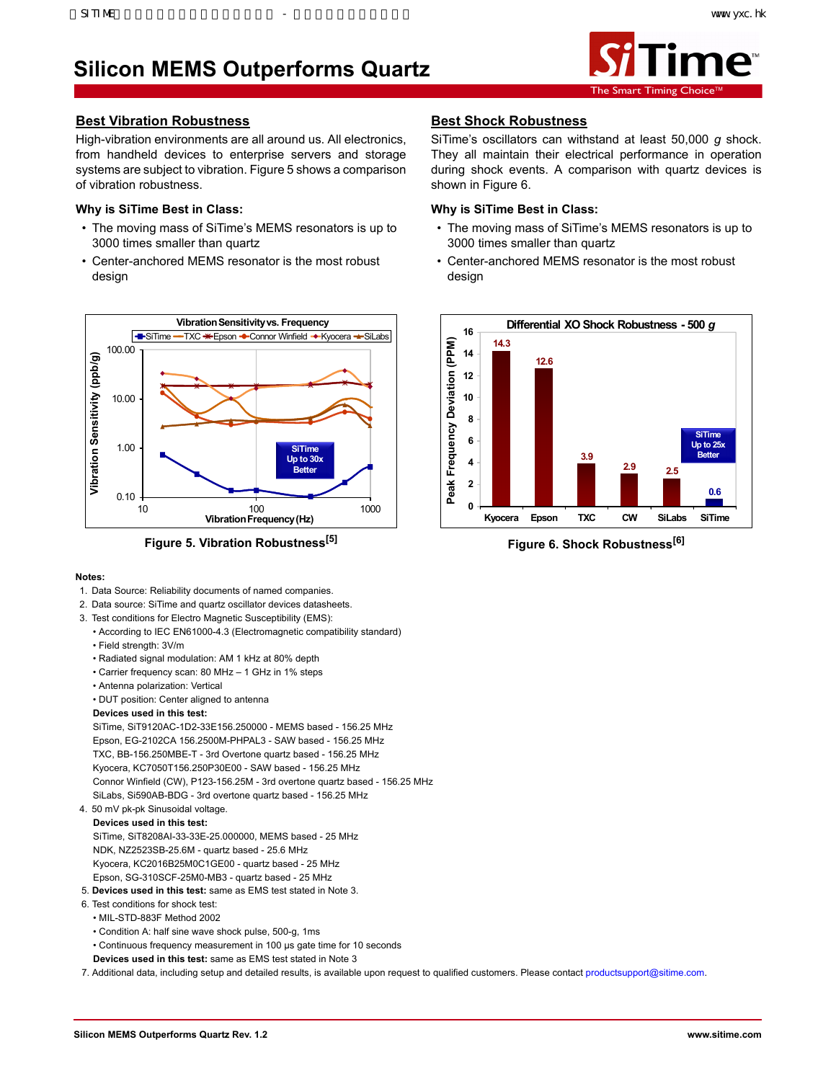## **Silicon MEMS Outperforms Quartz**



### **Best Vibration Robustness**

High-vibration environments are all around us. All electronics, from handheld devices to enterprise servers and storage systems are subject to vibration. Figure 5 shows a comparison of vibration robustness.

### **Why is SiTime Best in Class:**

- The moving mass of SiTime's MEMS resonators is up to 3000 times smaller than quartz
- Center-anchored MEMS resonator is the most robust design



**Figure 5. Vibration Robustness[5]**

### **Notes:**

- 1. Data Source: Reliability documents of named companies.
- 2. Data source: SiTime and quartz oscillator devices datasheets.
- 3. Test conditions for Electro Magnetic Susceptibility (EMS):
	- According to IEC EN61000-4.3 (Electromagnetic compatibility standard)
	- Field strength: 3V/m
	- Radiated signal modulation: AM 1 kHz at 80% depth
	- Carrier frequency scan: 80 MHz 1 GHz in 1% steps
	- Antenna polarization: Vertical
	- DUT position: Center aligned to antenna

### **Devices used in this test:**

SiTime, SiT9120AC-1D2-33E156.250000 - MEMS based - 156.25 MHz Epson, EG-2102CA 156.2500M-PHPAL3 - SAW based - 156.25 MHz TXC, BB-156.250MBE-T - 3rd Overtone quartz based - 156.25 MHz Kyocera, KC7050T156.250P30E00 - SAW based - 156.25 MHz Connor Winfield (CW), P123-156.25M - 3rd overtone quartz based - 156.25 MHz SiLabs, Si590AB-BDG - 3rd overtone quartz based - 156.25 MHz

### 4. 50 mV pk-pk Sinusoidal voltage.

**Devices used in this test:** SiTime, SiT8208AI-33-33E-25.000000, MEMS based - 25 MHz NDK, NZ2523SB-25.6M - quartz based - 25.6 MHz Kyocera, KC2016B25M0C1GE00 - quartz based - 25 MHz Epson, SG-310SCF-25M0-MB3 - quartz based - 25 MHz

- 5. **Devices used in this test:** same as EMS test stated in Note 3.
- 6. Test conditions for shock test:
- MIL-STD-883F Method 2002
- Condition A: half sine wave shock pulse, 500-g, 1ms
- Continuous frequency measurement in 100 μs gate time for 10 seconds
- **Devices used in this test:** same as EMS test stated in Note 3

7. Additional data, including setup and detailed results, is available upon request to qualified customers. Please contact productsupport@sitime.com.

### **Best Shock Robustness**

SiTime's oscillators can withstand at least 50,000 *g* shock. They all maintain their electrical performance in operation during shock events. A comparison with quartz devices is shown in Figure 6.

### **Why is SiTime Best in Class:**

- The moving mass of SiTime's MEMS resonators is up to 3000 times smaller than quartz
- Center-anchored MEMS resonator is the most robust design



**Figure 6. Shock Robustness[6]**